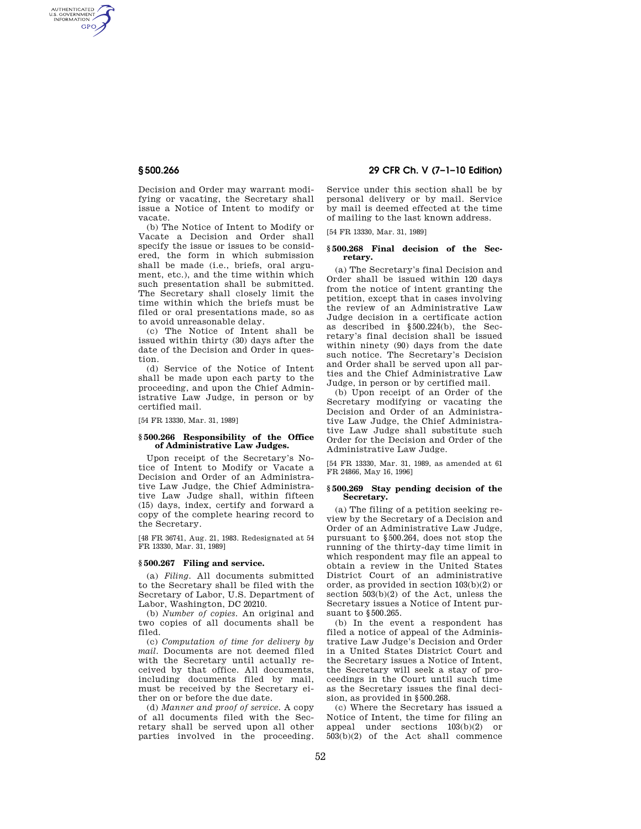AUTHENTICATED<br>U.S. GOVERNMENT<br>INFORMATION **GPO** 

> Decision and Order may warrant modifying or vacating, the Secretary shall issue a Notice of Intent to modify or vacate.

> (b) The Notice of Intent to Modify or Vacate a Decision and Order shall specify the issue or issues to be considered, the form in which submission shall be made (i.e., briefs, oral argument, etc.), and the time within which such presentation shall be submitted. The Secretary shall closely limit the time within which the briefs must be filed or oral presentations made, so as to avoid unreasonable delay.

> (c) The Notice of Intent shall be issued within thirty (30) days after the date of the Decision and Order in question.

> (d) Service of the Notice of Intent shall be made upon each party to the proceeding, and upon the Chief Administrative Law Judge, in person or by certified mail.

[54 FR 13330, Mar. 31, 1989]

### **§ 500.266 Responsibility of the Office of Administrative Law Judges.**

Upon receipt of the Secretary's Notice of Intent to Modify or Vacate a Decision and Order of an Administrative Law Judge, the Chief Administrative Law Judge shall, within fifteen (15) days, index, certify and forward a copy of the complete hearing record to the Secretary.

[48 FR 36741, Aug. 21, 1983. Redesignated at 54 FR 13330, Mar. 31, 1989]

## **§ 500.267 Filing and service.**

(a) *Filing.* All documents submitted to the Secretary shall be filed with the Secretary of Labor, U.S. Department of Labor, Washington, DC 20210.

(b) *Number of copies.* An original and two copies of all documents shall be filed.

(c) *Computation of time for delivery by mail.* Documents are not deemed filed with the Secretary until actually received by that office. All documents, including documents filed by mail, must be received by the Secretary either on or before the due date.

(d) *Manner and proof of service.* A copy of all documents filed with the Secretary shall be served upon all other parties involved in the proceeding.

# **§ 500.266 29 CFR Ch. V (7–1–10 Edition)**

Service under this section shall be by personal delivery or by mail. Service by mail is deemed effected at the time of mailing to the last known address.

[54 FR 13330, Mar. 31, 1989]

## **§ 500.268 Final decision of the Secretary.**

(a) The Secretary's final Decision and Order shall be issued within 120 days from the notice of intent granting the petition, except that in cases involving the review of an Administrative Law Judge decision in a certificate action as described in §500.224(b), the Secretary's final decision shall be issued within ninety (90) days from the date such notice. The Secretary's Decision and Order shall be served upon all parties and the Chief Administrative Law Judge, in person or by certified mail.

(b) Upon receipt of an Order of the Secretary modifying or vacating the Decision and Order of an Administrative Law Judge, the Chief Administrative Law Judge shall substitute such Order for the Decision and Order of the Administrative Law Judge.

[54 FR 13330, Mar. 31, 1989, as amended at 61 FR 24866, May 16, 1996]

## **§ 500.269 Stay pending decision of the Secretary.**

(a) The filing of a petition seeking review by the Secretary of a Decision and Order of an Administrative Law Judge, pursuant to §500.264, does not stop the running of the thirty-day time limit in which respondent may file an appeal to obtain a review in the United States District Court of an administrative order, as provided in section 103(b)(2) or section 503(b)(2) of the Act, unless the Secretary issues a Notice of Intent pursuant to §500.265.

(b) In the event a respondent has filed a notice of appeal of the Administrative Law Judge's Decision and Order in a United States District Court and the Secretary issues a Notice of Intent, the Secretary will seek a stay of proceedings in the Court until such time as the Secretary issues the final decision, as provided in §500.268.

(c) Where the Secretary has issued a Notice of Intent, the time for filing an appeal under sections 103(b)(2) or  $503(b)(2)$  of the Act shall commence